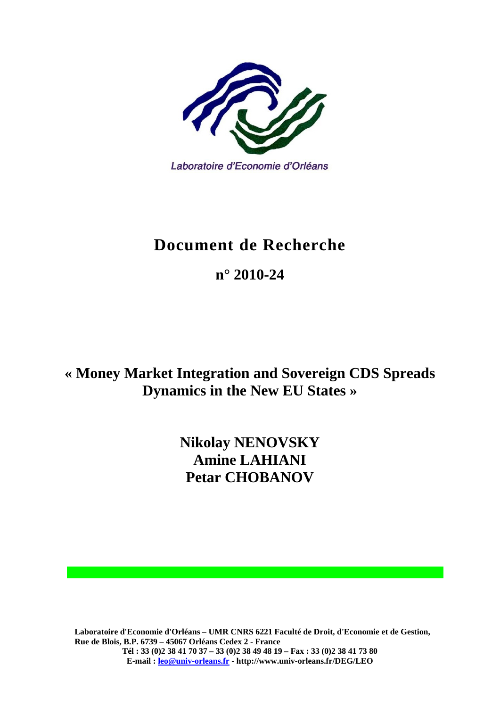

# **Document de Recherche**

**n° 2010-24** 

**« Money Market Integration and Sovereign CDS Spreads Dynamics in the New EU States »** 

> **Nikolay NENOVSKY Amine LAHIANI Petar CHOBANOV**

**Laboratoire d'Economie d'Orléans – UMR CNRS 6221 Faculté de Droit, d'Economie et de Gestion, Rue de Blois, B.P. 6739 – 45067 Orléans Cedex 2 - France Tél : 33 (0)2 38 41 70 37 – 33 (0)2 38 49 48 19 – Fax : 33 (0)2 38 41 73 80 E-mail : leo@univ-orleans.fr - http://www.univ-orleans.fr/DEG/LEO**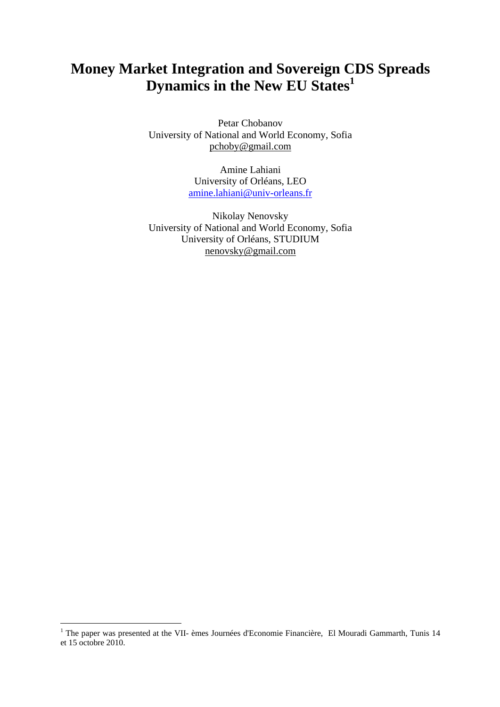## **Money Market Integration and Sovereign CDS Spreads Dynamics in the New EU States<sup>1</sup>**

Petar Chobanov University of National and World Economy, Sofia pchoby@gmail.com

> Amine Lahiani University of Orléans, LEO amine.lahiani@univ-orleans.fr

Nikolay Nenovsky University of National and World Economy, Sofia University of Orléans, STUDIUM nenovsky@gmail.com

1

<sup>&</sup>lt;sup>1</sup> The paper was presented at the VII- èmes Journées d'Economie Financière, El Mouradi Gammarth, Tunis 14 et 15 octobre 2010.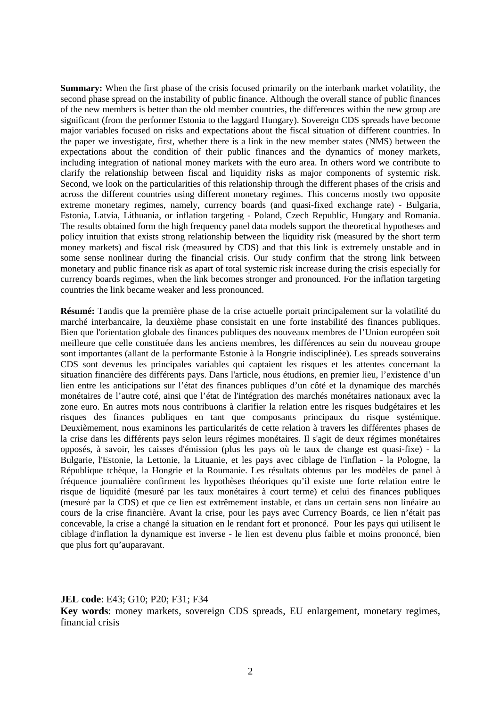**Summary:** When the first phase of the crisis focused primarily on the interbank market volatility, the second phase spread on the instability of public finance. Although the overall stance of public finances of the new members is better than the old member countries, the differences within the new group are significant (from the performer Estonia to the laggard Hungary). Sovereign CDS spreads have become major variables focused on risks and expectations about the fiscal situation of different countries. In the paper we investigate, first, whether there is a link in the new member states (NMS) between the expectations about the condition of their public finances and the dynamics of money markets, including integration of national money markets with the euro area. In others word we contribute to clarify the relationship between fiscal and liquidity risks as major components of systemic risk. Second, we look on the particularities of this relationship through the different phases of the crisis and across the different countries using different monetary regimes. This concerns mostly two opposite extreme monetary regimes, namely, currency boards (and quasi-fixed exchange rate) - Bulgaria, Estonia, Latvia, Lithuania, or inflation targeting - Poland, Czech Republic, Hungary and Romania. The results obtained form the high frequency panel data models support the theoretical hypotheses and policy intuition that exists strong relationship between the liquidity risk (measured by the short term money markets) and fiscal risk (measured by CDS) and that this link is extremely unstable and in some sense nonlinear during the financial crisis. Our study confirm that the strong link between monetary and public finance risk as apart of total systemic risk increase during the crisis especially for currency boards regimes, when the link becomes stronger and pronounced. For the inflation targeting countries the link became weaker and less pronounced.

**Résumé:** Tandis que la première phase de la crise actuelle portait principalement sur la volatilité du marché interbancaire, la deuxième phase consistait en une forte instabilité des finances publiques. Bien que l'orientation globale des finances publiques des nouveaux membres de l'Union européen soit meilleure que celle constituée dans les anciens membres, les différences au sein du nouveau groupe sont importantes (allant de la performante Estonie à la Hongrie indisciplinée). Les spreads souverains CDS sont devenus les principales variables qui captaient les risques et les attentes concernant la situation financière des différents pays. Dans l'article, nous étudions, en premier lieu, l'existence d'un lien entre les anticipations sur l'état des finances publiques d'un côté et la dynamique des marchés monétaires de l'autre coté, ainsi que l'état de l'intégration des marchés monétaires nationaux avec la zone euro. En autres mots nous contribuons à clarifier la relation entre les risques budgétaires et les risques des finances publiques en tant que composants principaux du risque systémique. Deuxièmement, nous examinons les particularités de cette relation à travers les différentes phases de la crise dans les différents pays selon leurs régimes monétaires. Il s'agit de deux régimes monétaires opposés, à savoir, les caisses d'émission (plus les pays où le taux de change est quasi-fixe) - la Bulgarie, l'Estonie, la Lettonie, la Lituanie, et les pays avec ciblage de l'inflation - la Pologne, la République tchèque, la Hongrie et la Roumanie. Les résultats obtenus par les modèles de panel à fréquence journalière confirment les hypothèses théoriques qu'il existe une forte relation entre le risque de liquidité (mesuré par les taux monétaires à court terme) et celui des finances publiques (mesuré par la CDS) et que ce lien est extrêmement instable, et dans un certain sens non linéaire au cours de la crise financière. Avant la crise, pour les pays avec Currency Boards, ce lien n'était pas concevable, la crise a changé la situation en le rendant fort et prononcé. Pour les pays qui utilisent le ciblage d'inflation la dynamique est inverse - le lien est devenu plus faible et moins prononcé, bien que plus fort qu'auparavant.

**JEL code**: E43; G10; P20; F31; F34

**Key words**: money markets, sovereign CDS spreads, EU enlargement, monetary regimes, financial crisis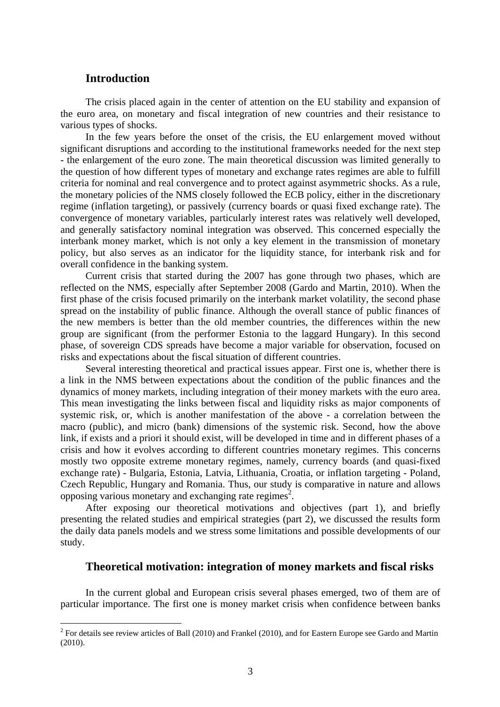## **Introduction**

1

The crisis placed again in the center of attention on the EU stability and expansion of the euro area, on monetary and fiscal integration of new countries and their resistance to various types of shocks.

In the few years before the onset of the crisis, the EU enlargement moved without significant disruptions and according to the institutional frameworks needed for the next step - the enlargement of the euro zone. The main theoretical discussion was limited generally to the question of how different types of monetary and exchange rates regimes are able to fulfill criteria for nominal and real convergence and to protect against asymmetric shocks. As a rule, the monetary policies of the NMS closely followed the ECB policy, either in the discretionary regime (inflation targeting), or passively (currency boards or quasi fixed exchange rate). The convergence of monetary variables, particularly interest rates was relatively well developed, and generally satisfactory nominal integration was observed. This concerned especially the interbank money market, which is not only a key element in the transmission of monetary policy, but also serves as an indicator for the liquidity stance, for interbank risk and for overall confidence in the banking system.

Current crisis that started during the 2007 has gone through two phases, which are reflected on the NMS, especially after September 2008 (Gardo and Martin, 2010). When the first phase of the crisis focused primarily on the interbank market volatility, the second phase spread on the instability of public finance. Although the overall stance of public finances of the new members is better than the old member countries, the differences within the new group are significant (from the performer Estonia to the laggard Hungary). In this second phase, of sovereign CDS spreads have become a major variable for observation, focused on risks and expectations about the fiscal situation of different countries.

Several interesting theoretical and practical issues appear. First one is, whether there is a link in the NMS between expectations about the condition of the public finances and the dynamics of money markets, including integration of their money markets with the euro area. This mean investigating the links between fiscal and liquidity risks as major components of systemic risk, or, which is another manifestation of the above - a correlation between the macro (public), and micro (bank) dimensions of the systemic risk. Second, how the above link, if exists and a priori it should exist, will be developed in time and in different phases of a crisis and how it evolves according to different countries monetary regimes. This concerns mostly two opposite extreme monetary regimes, namely, currency boards (and quasi-fixed exchange rate) - Bulgaria, Estonia, Latvia, Lithuania, Croatia, or inflation targeting - Poland, Czech Republic, Hungary and Romania. Thus, our study is comparative in nature and allows opposing various monetary and exchanging rate regimes<sup>2</sup>.

After exposing our theoretical motivations and objectives (part 1), and briefly presenting the related studies and empirical strategies (part 2), we discussed the results form the daily data panels models and we stress some limitations and possible developments of our study.

## **Theoretical motivation: integration of money markets and fiscal risks**

In the current global and European crisis several phases emerged, two of them are of particular importance. The first one is money market crisis when confidence between banks

 $2^2$  For details see review articles of Ball (2010) and Frankel (2010), and for Eastern Europe see Gardo and Martin (2010).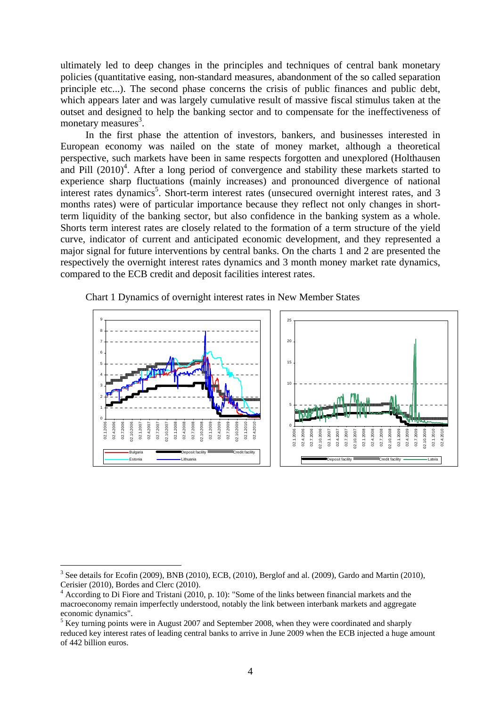ultimately led to deep changes in the principles and techniques of central bank monetary policies (quantitative easing, non-standard measures, abandonment of the so called separation principle etc...). The second phase concerns the crisis of public finances and public debt, which appears later and was largely cumulative result of massive fiscal stimulus taken at the outset and designed to help the banking sector and to compensate for the ineffectiveness of monetary measures $3$ .

In the first phase the attention of investors, bankers, and businesses interested in European economy was nailed on the state of money market, although a theoretical perspective, such markets have been in same respects forgotten and unexplored (Holthausen and Pill  $(2010)^4$ . After a long period of convergence and stability these markets started to experience sharp fluctuations (mainly increases) and pronounced divergence of national interest rates dynamics<sup>5</sup>. Short-term interest rates (unsecured overnight interest rates, and 3 months rates) were of particular importance because they reflect not only changes in shortterm liquidity of the banking sector, but also confidence in the banking system as a whole. Shorts term interest rates are closely related to the formation of a term structure of the yield curve, indicator of current and anticipated economic development, and they represented a major signal for future interventions by central banks. On the charts 1 and 2 are presented the respectively the overnight interest rates dynamics and 3 month money market rate dynamics, compared to the ECB credit and deposit facilities interest rates.





1

<sup>3</sup> See details for Ecofin (2009), BNB (2010), ECB, (2010), Berglof and al. (2009), Gardo and Martin (2010), Cerisier (2010), Bordes and Clerc (2010).

<sup>&</sup>lt;sup>4</sup> According to Di Fiore and Tristani (2010, p. 10): "Some of the links between financial markets and the macroeconomy remain imperfectly understood, notably the link between interbank markets and aggregate economic dynamics".

 $<sup>5</sup>$  Key turning points were in August 2007 and September 2008, when they were coordinated and sharply</sup> reduced key interest rates of leading central banks to arrive in June 2009 when the ECB injected a huge amount of 442 billion euros.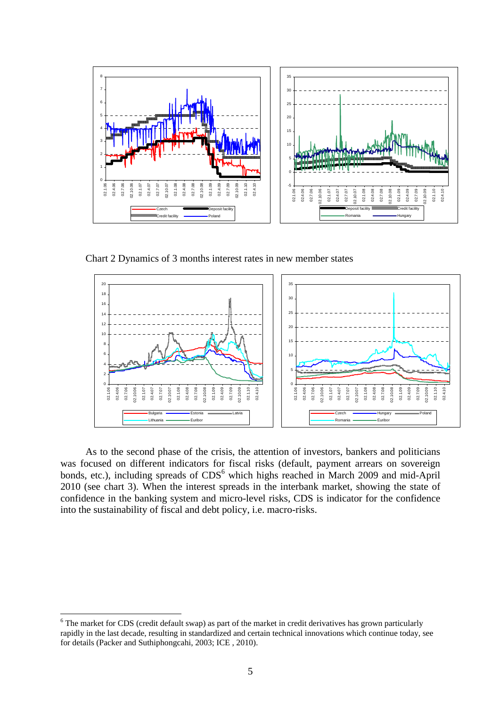

Chart 2 Dynamics of 3 months interest rates in new member states



As to the second phase of the crisis, the attention of investors, bankers and politicians was focused on different indicators for fiscal risks (default, payment arrears on sovereign bonds, etc.), including spreads of CDS<sup>6</sup> which highs reached in March 2009 and mid-April 2010 (see chart 3). When the interest spreads in the interbank market, showing the state of confidence in the banking system and micro-level risks, CDS is indicator for the confidence into the sustainability of fiscal and debt policy, i.e. macro-risks.

1

<sup>&</sup>lt;sup>6</sup> The market for CDS (credit default swap) as part of the market in credit derivatives has grown particularly rapidly in the last decade, resulting in standardized and certain technical innovations which continue today, see for details (Packer and Suthiphongcahi, 2003; ICE , 2010).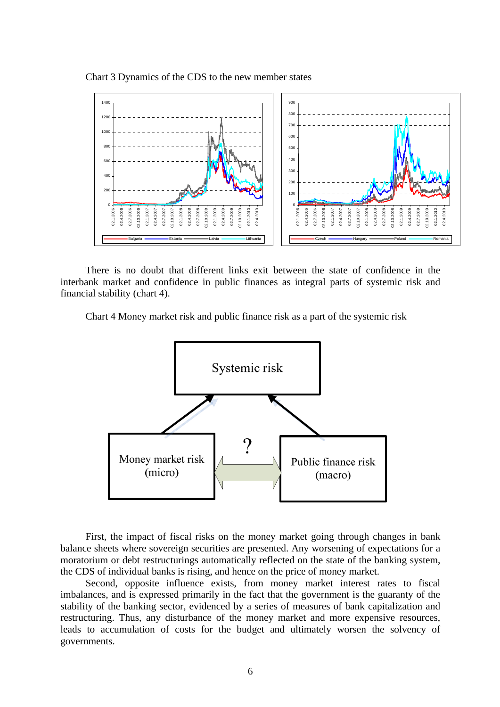Chart 3 Dynamics of the CDS to the new member states



There is no doubt that different links exit between the state of confidence in the interbank market and confidence in public finances as integral parts of systemic risk and financial stability (chart 4).

Chart 4 Money market risk and public finance risk as a part of the systemic risk



First, the impact of fiscal risks on the money market going through changes in bank balance sheets where sovereign securities are presented. Any worsening of expectations for a moratorium or debt restructurings automatically reflected on the state of the banking system, the CDS of individual banks is rising, and hence on the price of money market.

Second, opposite influence exists, from money market interest rates to fiscal imbalances, and is expressed primarily in the fact that the government is the guaranty of the stability of the banking sector, evidenced by a series of measures of bank capitalization and restructuring. Thus, any disturbance of the money market and more expensive resources, leads to accumulation of costs for the budget and ultimately worsen the solvency of governments.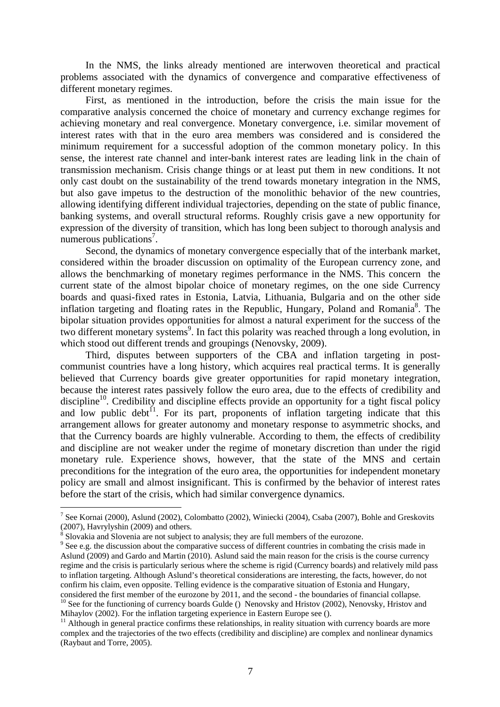In the NMS, the links already mentioned are interwoven theoretical and practical problems associated with the dynamics of convergence and comparative effectiveness of different monetary regimes.

First, as mentioned in the introduction, before the crisis the main issue for the comparative analysis concerned the choice of monetary and currency exchange regimes for achieving monetary and real convergence. Monetary convergence, i.e. similar movement of interest rates with that in the euro area members was considered and is considered the minimum requirement for a successful adoption of the common monetary policy. In this sense, the interest rate channel and inter-bank interest rates are leading link in the chain of transmission mechanism. Crisis change things or at least put them in new conditions. It not only cast doubt on the sustainability of the trend towards monetary integration in the NMS, but also gave impetus to the destruction of the monolithic behavior of the new countries, allowing identifying different individual trajectories, depending on the state of public finance, banking systems, and overall structural reforms. Roughly crisis gave a new opportunity for expression of the diversity of transition, which has long been subject to thorough analysis and numerous publications<sup>7</sup>.

Second, the dynamics of monetary convergence especially that of the interbank market, considered within the broader discussion on optimality of the European currency zone, and allows the benchmarking of monetary regimes performance in the NMS. This concern the current state of the almost bipolar choice of monetary regimes, on the one side Currency boards and quasi-fixed rates in Estonia, Latvia, Lithuania, Bulgaria and on the other side inflation targeting and floating rates in the Republic, Hungary, Poland and Romania<sup>8</sup>. The bipolar situation provides opportunities for almost a natural experiment for the success of the two different monetary systems<sup>9</sup>. In fact this polarity was reached through a long evolution, in which stood out different trends and groupings (Nenovsky, 2009).

Third, disputes between supporters of the CBA and inflation targeting in postcommunist countries have a long history, which acquires real practical terms. It is generally believed that Currency boards give greater opportunities for rapid monetary integration, because the interest rates passively follow the euro area, due to the effects of credibility and discipline<sup>10</sup>. Credibility and discipline effects provide an opportunity for a tight fiscal policy and low public debt<sup> $11$ </sup>. For its part, proponents of inflation targeting indicate that this arrangement allows for greater autonomy and monetary response to asymmetric shocks, and that the Currency boards are highly vulnerable. According to them, the effects of credibility and discipline are not weaker under the regime of monetary discretion than under the rigid monetary rule. Experience shows, however, that the state of the MNS and certain preconditions for the integration of the euro area, the opportunities for independent monetary policy are small and almost insignificant. This is confirmed by the behavior of interest rates before the start of the crisis, which had similar convergence dynamics.

<u>.</u>

<sup>&</sup>lt;sup>7</sup> See Kornai (2000), Aslund (2002), Colombatto (2002), Winiecki (2004), Csaba (2007), Bohle and Greskovits (2007), Havrylyshin (2009) and others.

 $\frac{8}{2}$  Slovakia and Slovenia are not subject to analysis; they are full members of the eurozone.

<sup>&</sup>lt;sup>9</sup> See e.g. the discussion about the comparative success of different countries in combating the crisis made in Aslund (2009) and Gardo and Martin (2010). Aslund said the main reason for the crisis is the course currency regime and the crisis is particularly serious where the scheme is rigid (Currency boards) and relatively mild pass to inflation targeting. Although Aslund's theoretical considerations are interesting, the facts, however, do not confirm his claim, even opposite. Telling evidence is the comparative situation of Estonia and Hungary, considered the first member of the eurozone by 2011, and the second - the boundaries of financial collapse. <sup>10</sup> See for the functioning of currency boards Gulde () Nenovsky and Hristov (2002), Nenovsky, Hristov and Mihaylov (2002). For the inflation targeting experience in Eastern Europe see ().

 $11$  Although in general practice confirms these relationships, in reality situation with currency boards are more complex and the trajectories of the two effects (credibility and discipline) are complex and nonlinear dynamics (Raybaut and Torre, 2005).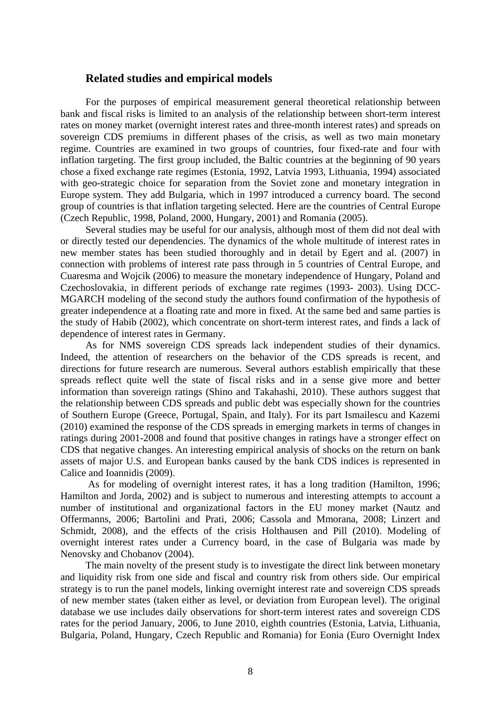### **Related studies and empirical models**

For the purposes of empirical measurement general theoretical relationship between bank and fiscal risks is limited to an analysis of the relationship between short-term interest rates on money market (overnight interest rates and three-month interest rates) and spreads on sovereign CDS premiums in different phases of the crisis, as well as two main monetary regime. Countries are examined in two groups of countries, four fixed-rate and four with inflation targeting. The first group included, the Baltic countries at the beginning of 90 years chose a fixed exchange rate regimes (Estonia, 1992, Latvia 1993, Lithuania, 1994) associated with geo-strategic choice for separation from the Soviet zone and monetary integration in Europe system. They add Bulgaria, which in 1997 introduced a currency board. The second group of countries is that inflation targeting selected. Here are the countries of Central Europe (Czech Republic, 1998, Poland, 2000, Hungary, 2001) and Romania (2005).

Several studies may be useful for our analysis, although most of them did not deal with or directly tested our dependencies. The dynamics of the whole multitude of interest rates in new member states has been studied thoroughly and in detail by Egert and al. (2007) in connection with problems of interest rate pass through in 5 countries of Central Europe, and Cuaresma and Wojcik (2006) to measure the monetary independence of Hungary, Poland and Czechoslovakia, in different periods of exchange rate regimes (1993- 2003). Using DCC-MGARCH modeling of the second study the authors found confirmation of the hypothesis of greater independence at a floating rate and more in fixed. At the same bed and same parties is the study of Habib (2002), which concentrate on short-term interest rates, and finds a lack of dependence of interest rates in Germany.

As for NMS sovereign CDS spreads lack independent studies of their dynamics. Indeed, the attention of researchers on the behavior of the CDS spreads is recent, and directions for future research are numerous. Several authors establish empirically that these spreads reflect quite well the state of fiscal risks and in a sense give more and better information than sovereign ratings (Shino and Takahashi, 2010). These authors suggest that the relationship between CDS spreads and public debt was especially shown for the countries of Southern Europe (Greece, Portugal, Spain, and Italy). For its part Ismailescu and Kazemi (2010) examined the response of the CDS spreads in emerging markets in terms of changes in ratings during 2001-2008 and found that positive changes in ratings have a stronger effect on CDS that negative changes. An interesting empirical analysis of shocks on the return on bank assets of major U.S. and European banks caused by the bank CDS indices is represented in Calice and Ioannidis (2009).

 As for modeling of overnight interest rates, it has a long tradition (Hamilton, 1996; Hamilton and Jorda, 2002) and is subject to numerous and interesting attempts to account a number of institutional and organizational factors in the EU money market (Nautz and Offermanns, 2006; Bartolini and Prati, 2006; Cassola and Mmorana, 2008; Linzert and Schmidt, 2008), and the effects of the crisis Holthausen and Pill (2010). Modeling of overnight interest rates under a Currency board, in the case of Bulgaria was made by Nenovsky and Chobanov (2004).

The main novelty of the present study is to investigate the direct link between monetary and liquidity risk from one side and fiscal and country risk from others side. Our empirical strategy is to run the panel models, linking overnight interest rate and sovereign CDS spreads of new member states (taken either as level, or deviation from European level). The original database we use includes daily observations for short-term interest rates and sovereign CDS rates for the period January, 2006, to June 2010, eighth countries (Estonia, Latvia, Lithuania, Bulgaria, Poland, Hungary, Czech Republic and Romania) for Eonia (Euro Overnight Index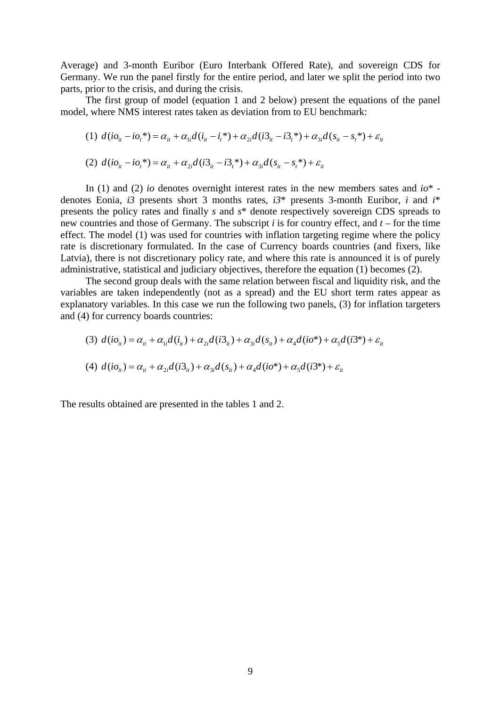Average) and 3-month Euribor (Euro Interbank Offered Rate), and sovereign CDS for Germany. We run the panel firstly for the entire period, and later we split the period into two parts, prior to the crisis, and during the crisis.

The first group of model (equation 1 and 2 below) present the equations of the panel model, where NMS interest rates taken as deviation from to EU benchmark:

(1) 
$$
d(i\sigma_{ii} - i\sigma_i^*) = \alpha_{ii} + \alpha_{1i}d(i_{ii} - i_i^*) + \alpha_{2i}d(i\sigma_{ii} - i\sigma_i^*) + \alpha_{3i}d(s_{ii} - s_i^*) + \varepsilon_{ii}
$$

(2) 
$$
d(i\omega_{it} - i\omega_t^*) = \alpha_{it} + \alpha_{2i}d(i3_{it} - i3_t^*) + \alpha_{3i}d(s_{it} - s_t^*) + \varepsilon_{it}
$$

In (1) and (2) *io* denotes overnight interest rates in the new members sates and *io*\* denotes Eonia, *i3* presents short 3 months rates, *i3*\* presents 3-month Euribor, *i* and *i*\* presents the policy rates and finally *s* and *s*\* denote respectively sovereign CDS spreads to new countries and those of Germany. The subscript *i* is for country effect, and *t* – for the time effect. The model (1) was used for countries with inflation targeting regime where the policy rate is discretionary formulated. In the case of Currency boards countries (and fixers, like Latvia), there is not discretionary policy rate, and where this rate is announced it is of purely administrative, statistical and judiciary objectives, therefore the equation (1) becomes (2).

The second group deals with the same relation between fiscal and liquidity risk, and the variables are taken independently (not as a spread) and the EU short term rates appear as explanatory variables. In this case we run the following two panels, (3) for inflation targeters and (4) for currency boards countries:

$$
(3) d(i\omega_{it}) = \alpha_{it} + \alpha_{li}d(i_{it}) + \alpha_{2i}d(i3_{it}) + \alpha_{3i}d(s_{it}) + \alpha_{4}d(i\omega^{*}) + \alpha_{5}d(i3^{*}) + \varepsilon_{it}
$$

(4) 
$$
d(i\omega_{it}) = \alpha_{it} + \alpha_{2i}d(i3_{it}) + \alpha_{3i}d(s_{it}) + \alpha_4d(i\omega^*) + \alpha_5d(i3^*) + \varepsilon_{it}
$$

The results obtained are presented in the tables 1 and 2.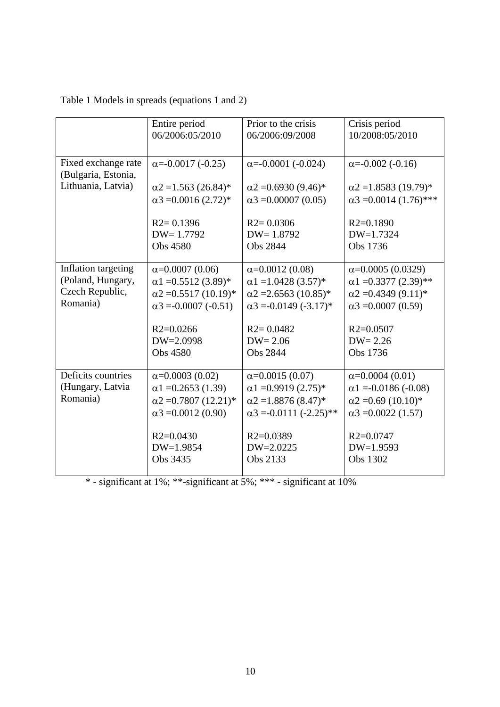|                                            | Entire period                | Prior to the crisis            | Crisis period                 |
|--------------------------------------------|------------------------------|--------------------------------|-------------------------------|
|                                            | 06/2006:05/2010              | 06/2006:09/2008                | 10/2008:05/2010               |
| Fixed exchange rate<br>(Bulgaria, Estonia, | $\alpha = -0.0017 (-0.25)$   | $\alpha = -0.0001 (-0.024)$    | $\alpha = -0.002 (-0.16)$     |
| Lithuania, Latvia)                         | $\alpha$ 2 = 1.563 (26.84)*  | $\alpha$ 2 = 0.6930 (9.46)*    | $\alpha$ 2 = 1.8583 (19.79)*  |
|                                            | $\alpha$ 3 = 0.0016 (2.72)*  | $\alpha$ 3 = 0.00007 (0.05)    | $\alpha$ 3 = 0.0014 (1.76)*** |
|                                            | $R2 = 0.1396$                | $R2 = 0.0306$                  | $R2=0.1890$                   |
|                                            | $DW = 1.7792$                | $DW = 1.8792$                  | $DW=1.7324$                   |
|                                            | Obs 4580                     | <b>Obs 2844</b>                | Obs 1736                      |
| Inflation targeting                        | $\alpha$ =0.0007 (0.06)      | $\alpha = 0.0012(0.08)$        | $\alpha$ =0.0005 (0.0329)     |
| (Poland, Hungary,                          | $\alpha$ 1 = 0.5512 (3.89)*  | $\alpha$ 1 = 1.0428 (3.57)*    | $\alpha$ 1 = 0.3377 (2.39)**  |
| Czech Republic,                            | $\alpha$ 2 = 0.5517 (10.19)* | $\alpha$ 2 = 2.6563 (10.85)*   | $\alpha$ 2 = 0.4349 (9.11)*   |
| Romania)                                   | $\alpha$ 3 = -0.0007 (-0.51) | $\alpha$ 3 = -0.0149 (-3.17)*  | $\alpha$ 3 = 0.0007 (0.59)    |
|                                            | $R2=0.0266$                  | $R2 = 0.0482$                  | $R2=0.0507$                   |
|                                            | $DW=2.0998$                  | $DW = 2.06$                    | $DW = 2.26$                   |
|                                            | Obs 4580                     | Obs 2844                       | Obs 1736                      |
| Deficits countries                         | $\alpha$ =0.0003 (0.02)      | $\alpha$ =0.0015 (0.07)        | $\alpha = 0.0004(0.01)$       |
| (Hungary, Latvia                           | $\alpha$ 1 = 0.2653 (1.39)   | $\alpha$ 1 = 0.9919 (2.75)*    | $\alpha$ 1 = 0.0186 (-0.08)   |
| Romania)                                   | $\alpha$ 2 = 0.7807 (12.21)* | $\alpha$ 2 = 1.8876 (8.47)*    | $\alpha$ 2 = 0.69 (10.10)*    |
|                                            | $\alpha$ 3 = 0.0012 (0.90)   | $\alpha$ 3 = -0.0111 (-2.25)** | $\alpha$ 3 = 0.0022 (1.57)    |
|                                            | $R2=0.0430$                  | $R2=0.0389$                    | $R2=0.0747$                   |
|                                            | DW=1.9854                    | $DW=2.0225$                    | $DW=1.9593$                   |
|                                            | Obs 3435                     | Obs 2133                       | Obs 1302                      |
|                                            |                              |                                |                               |

| Table 1 Models in spreads (equations 1 and 2) |  |
|-----------------------------------------------|--|
|-----------------------------------------------|--|

\* - significant at 1%; \*\*-significant at 5%; \*\*\* - significant at 10%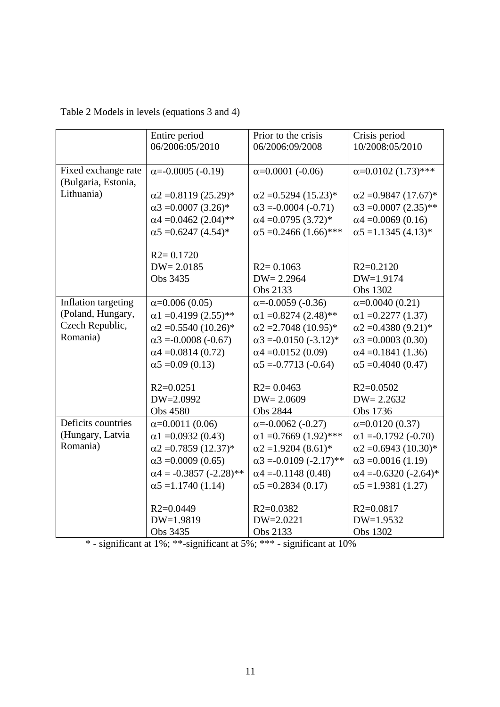| Table 2 Models in levels (equations 3 and 4) |  |
|----------------------------------------------|--|
|----------------------------------------------|--|

|                     | Entire period                  | Prior to the crisis            | Crisis period                 |
|---------------------|--------------------------------|--------------------------------|-------------------------------|
|                     | 06/2006:05/2010                | 06/2006:09/2008                | 10/2008:05/2010               |
|                     |                                |                                |                               |
| Fixed exchange rate | $\alpha = -0.0005 (-0.19)$     | $\alpha$ =0.0001 (-0.06)       | $\alpha$ =0.0102 (1.73)***    |
| (Bulgaria, Estonia, |                                |                                |                               |
| Lithuania)          | $\alpha$ 2 = 0.8119 (25.29)*   | $\alpha$ 2 = 0.5294 (15.23)*   | $\alpha$ 2 = 0.9847 (17.67)*  |
|                     | $\alpha$ 3 = 0.0007 (3.26)*    | $\alpha$ 3 = 0.0004 (-0.71)    | $\alpha$ 3 = 0.0007 (2.35)**  |
|                     | $\alpha$ 4 = 0.0462 (2.04)**   | $\alpha$ 4 = 0.0795 (3.72)*    | $\alpha$ 4 = 0.0069 (0.16)    |
|                     | $\alpha$ 5 = 0.6247 (4.54)*    | $\alpha$ 5 = 0.2466 (1.66)***  | $\alpha$ 5 = 1.1345 (4.13)*   |
|                     |                                |                                |                               |
|                     | $R2 = 0.1720$                  |                                |                               |
|                     | $DW = 2.0185$                  | $R2 = 0.1063$                  | $R2=0.2120$                   |
|                     | Obs 3435                       | $DW = 2.2964$                  | DW=1.9174                     |
|                     |                                | Obs 2133                       | Obs 1302                      |
| Inflation targeting | $\alpha$ =0.006 (0.05)         | $\alpha = -0.0059 (-0.36)$     | $\alpha = 0.0040$ (0.21)      |
| (Poland, Hungary,   | $\alpha$ 1 = 0.4199 (2.55)**   | $\alpha$ 1 = 0.8274 (2.48)**   | $\alpha$ 1 = 0.2277 (1.37)    |
| Czech Republic,     | $\alpha$ 2 = 0.5540 (10.26)*   | $\alpha$ 2 = 2.7048 (10.95)*   | $\alpha$ 2 = 0.4380 (9.21)*   |
| Romania)            | $\alpha$ 3 = -0.0008 (-0.67)   | $\alpha$ 3 = -0.0150 (-3.12)*  | $\alpha$ 3 = 0.0003 (0.30)    |
|                     | $\alpha$ 4 = 0.0814 (0.72)     | $\alpha$ 4 = 0.0152 (0.09)     | $\alpha$ 4 = 0.1841 (1.36)    |
|                     | $\alpha$ 5 = 0.09 (0.13)       | $\alpha$ 5 = -0.7713 (-0.64)   | $\alpha$ 5 = 0.4040 (0.47)    |
|                     |                                |                                |                               |
|                     | $R2=0.0251$                    | $R2 = 0.0463$                  | $R2=0.0502$                   |
|                     | DW=2.0992                      | $DW = 2.0609$                  | $DW = 2.2632$                 |
|                     | Obs 4580                       | Obs 2844                       | Obs 1736                      |
| Deficits countries  | $\alpha = 0.0011(0.06)$        | $\alpha = -0.0062 (-0.27)$     | $\alpha = 0.0120(0.37)$       |
| (Hungary, Latvia    | $\alpha$ 1 = 0.0932 (0.43)     | $\alpha$ 1 = 0.7669 (1.92)***  | $\alpha$ 1 = -0.1792 (-0.70)  |
| Romania)            | $\alpha$ 2 = 0.7859 (12.37)*   | $\alpha$ 2 = 1.9204 (8.61)*    | $\alpha$ 2 = 0.6943 (10.30)*  |
|                     | $\alpha$ 3 = 0.0009 (0.65)     | $\alpha$ 3 = -0.0109 (-2.17)** | $\alpha$ 3 = 0.0016 (1.19)    |
|                     | $\alpha$ 4 = -0.3857 (-2.28)** | $\alpha$ 4 = -0.1148 (0.48)    | $\alpha$ 4 = -0.6320 (-2.64)* |
|                     | $\alpha$ 5 = 1.1740 (1.14)     | $\alpha$ 5 = 0.2834 (0.17)     | $\alpha$ 5 = 1.9381 (1.27)    |
|                     |                                |                                |                               |
|                     | $R2=0.0449$                    | $R2 = 0.0382$                  | $R2=0.0817$                   |
|                     | DW=1.9819                      | $DW = 2.0221$                  | $DW=1.9532$                   |
|                     | Obs 3435                       | Obs 2133                       | Obs 1302                      |

\* - significant at 1%; \*\*-significant at 5%; \*\*\* - significant at 10%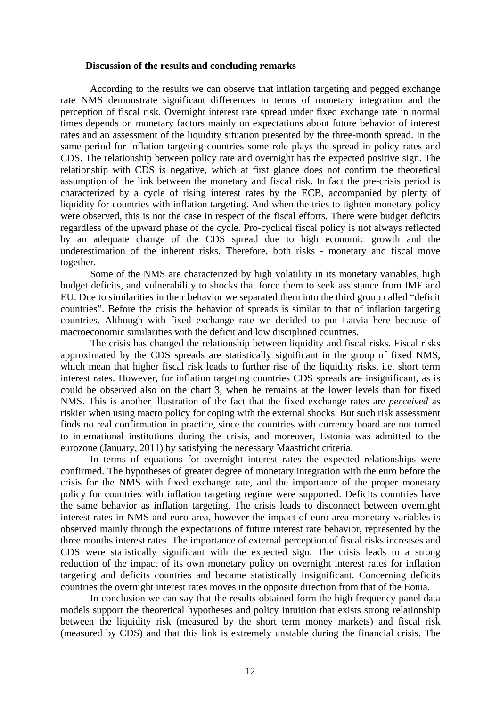#### **Discussion of the results and concluding remarks**

According to the results we can observe that inflation targeting and pegged exchange rate NMS demonstrate significant differences in terms of monetary integration and the perception of fiscal risk. Overnight interest rate spread under fixed exchange rate in normal times depends on monetary factors mainly on expectations about future behavior of interest rates and an assessment of the liquidity situation presented by the three-month spread. In the same period for inflation targeting countries some role plays the spread in policy rates and CDS. The relationship between policy rate and overnight has the expected positive sign. The relationship with CDS is negative, which at first glance does not confirm the theoretical assumption of the link between the monetary and fiscal risk. In fact the pre-crisis period is characterized by a cycle of rising interest rates by the ECB, accompanied by plenty of liquidity for countries with inflation targeting. And when the tries to tighten monetary policy were observed, this is not the case in respect of the fiscal efforts. There were budget deficits regardless of the upward phase of the cycle. Pro-cyclical fiscal policy is not always reflected by an adequate change of the CDS spread due to high economic growth and the underestimation of the inherent risks. Therefore, both risks - monetary and fiscal move together.

Some of the NMS are characterized by high volatility in its monetary variables, high budget deficits, and vulnerability to shocks that force them to seek assistance from IMF and EU. Due to similarities in their behavior we separated them into the third group called "deficit countries". Before the crisis the behavior of spreads is similar to that of inflation targeting countries. Although with fixed exchange rate we decided to put Latvia here because of macroeconomic similarities with the deficit and low disciplined countries.

The crisis has changed the relationship between liquidity and fiscal risks. Fiscal risks approximated by the CDS spreads are statistically significant in the group of fixed NMS, which mean that higher fiscal risk leads to further rise of the liquidity risks, i.e. short term interest rates. However, for inflation targeting countries CDS spreads are insignificant, as is could be observed also on the chart 3, when he remains at the lower levels than for fixed NMS. This is another illustration of the fact that the fixed exchange rates are *perceived* as riskier when using macro policy for coping with the external shocks. But such risk assessment finds no real confirmation in practice, since the countries with currency board are not turned to international institutions during the crisis, and moreover, Estonia was admitted to the eurozone (January, 2011) by satisfying the necessary Maastricht criteria.

In terms of equations for overnight interest rates the expected relationships were confirmed. The hypotheses of greater degree of monetary integration with the euro before the crisis for the NMS with fixed exchange rate, and the importance of the proper monetary policy for countries with inflation targeting regime were supported. Deficits countries have the same behavior as inflation targeting. The crisis leads to disconnect between overnight interest rates in NMS and euro area, however the impact of euro area monetary variables is observed mainly through the expectations of future interest rate behavior, represented by the three months interest rates. The importance of external perception of fiscal risks increases and CDS were statistically significant with the expected sign. The crisis leads to a strong reduction of the impact of its own monetary policy on overnight interest rates for inflation targeting and deficits countries and became statistically insignificant. Concerning deficits countries the overnight interest rates moves in the opposite direction from that of the Eonia.

In conclusion we can say that the results obtained form the high frequency panel data models support the theoretical hypotheses and policy intuition that exists strong relationship between the liquidity risk (measured by the short term money markets) and fiscal risk (measured by CDS) and that this link is extremely unstable during the financial crisis. The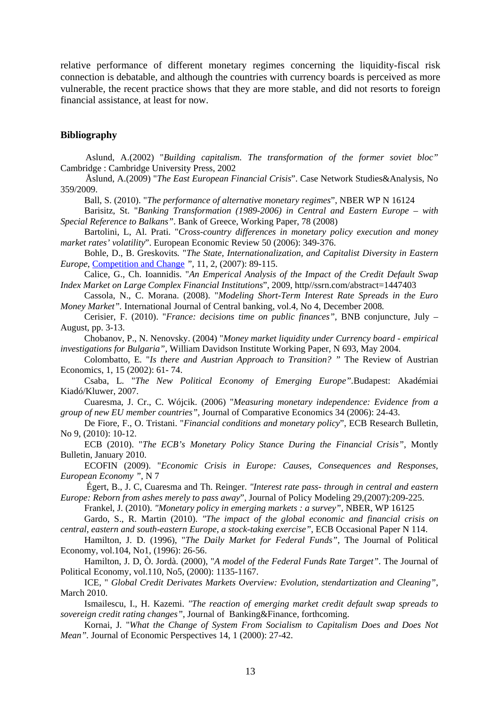relative performance of different monetary regimes concerning the liquidity-fiscal risk connection is debatable, and although the countries with currency boards is perceived as more vulnerable, the recent practice shows that they are more stable, and did not resorts to foreign financial assistance, at least for now.

#### **Bibliography**

Aslund, A.(2002) "*Building capitalism. The transformation of the former soviet bloc"* Cambridge : Cambridge University Press, 2002

Åslund, A.(2009) "*The East European Financial Crisis*". Case Network Studies&Analysis, No 359/2009.

Ball, S. (2010). "*The performance of alternative monetary regimes*", NBER WP N 16124

Barisitz, St. "*Banking Transformation (1989-2006) in Central and Eastern Europe – with Special Reference to Balkans"*. Bank of Greece, Working Paper, 78 (2008)

Bartolini, L, Al. Prati. "*Cross-country differences in monetary policy execution and money market rates' volatility*". European Economic Review 50 (2006): 349-376.

Bohle, D., B. Greskovits*.* "*The State, Internationalization, and Capitalist Diversity in Eastern Europe*, Competition and Change *",* 11, 2, (2007): 89-115.

Calice, G., Ch. Ioannidis. "*An Emperical Analysis of the Impact of the Credit Default Swap Index Market on Large Complex Financial Institutions*", 2009, http//ssrn.com/abstract=1447403

Cassola, N., C. Morana. (2008). "*Modeling Short-Term Interest Rate Spreads in the Euro Money Market".* International Journal of Central banking, vol.4, No 4, December 2008*.* 

Cerisier, F. (2010). "*France: decisions time on public finances"*, BNB conjuncture, July – August, pp. 3-13.

Chobanov, P., N. Nenovsky. (2004) "*Money market liquidity under Currency board - empirical investigations for Bulgaria",* William Davidson Institute Working Paper, N 693, May 2004.

Colombatto, E*.* "*Is there and Austrian Approach to Transition? "* The Review of Austrian Economics, 1, 15 (2002): 61- 74.

Csaba, L*.* "*The New Political Economy of Emerging Europe".*Budapest: Akadémiai Kiadó/Kluwer, 2007.

Cuaresma, J. Cr., C. Wójcik. (2006) "*Measuring monetary independence: Evidence from a group of new EU member countries",* Journal of Comparative Economics 34 (2006): 24-43.

De Fiore, F., O. Tristani. "*Financial conditions and monetary policy*", ECB Research Bulletin, No 9, (2010): 10-12.

ECB (2010). "*The ECB's Monetary Policy Stance During the Financial Crisis"*, Montly Bulletin, January 2010.

ECOFIN (2009). "*Economic Crisis in Europe: Causes, Consequences and Responses, European Economy ",* N 7

 Égert, B., J. C, Cuaresma and Th. Reinger. *"Interest rate pass- through in central and eastern Europe: Reborn from ashes merely to pass away*", Journal of Policy Modeling 29,(2007):209-225.

Frankel, J. (2010). *"Monetary policy in emerging markets : a survey"*, NBER, WP 16125

Gardo, S., R. Martin (2010). *"The impact of the global economic and financial crisis on central, eastern and south-eastern Europe, a stock-taking exercise"*, ECB Occasional Paper N 114.

Hamilton, J. D. (1996), "*The Daily Market for Federal Funds"*, The Journal of Political Economy, vol.104, No1, (1996): 26-56.

Hamilton, J. D, Ò. Jordà. (2000), "*A model of the Federal Funds Rate Target"*. The Journal of Political Economy, vol.110, No5, (2000): 1135-1167.

ICE, " *Global Credit Derivates Markets Overview: Evolution, stendartization and Cleaning"*, March 2010.

Ismailescu, I., H. Kazemi. *"The reaction of emerging market credit default swap spreads to sovereign credit rating changes",* Journal of Banking&Finance, forthcoming.

Kornai, J*.* "*What the Change of System From Socialism to Capitalism Does and Does Not Mean"*. Journal of Economic Perspectives 14, 1 (2000): 27-42.